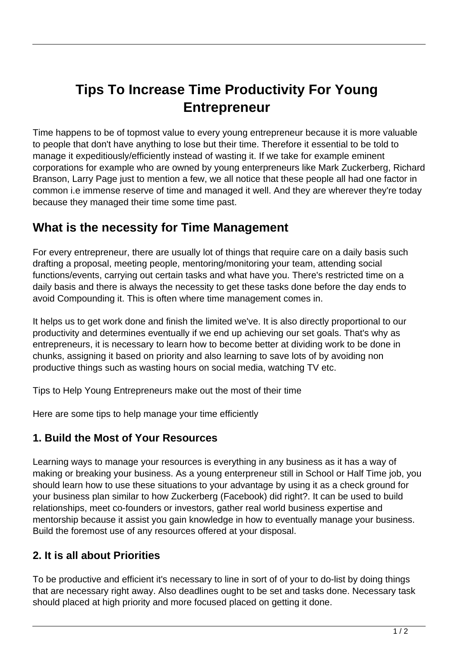# **Tips To Increase Time Productivity For Young Entrepreneur**

Time happens to be of topmost value to every young entrepreneur because it is more valuable to people that don't have anything to lose but their time. Therefore it essential to be told to manage it expeditiously/efficiently instead of wasting it. If we take for example eminent corporations for example who are owned by young enterpreneurs like Mark Zuckerberg, Richard Branson, Larry Page just to mention a few, we all notice that these people all had one factor in common i.e immense reserve of time and managed it well. And they are wherever they're today because they managed their time some time past.

# **What is the necessity for Time Management**

For every entrepreneur, there are usually lot of things that require care on a daily basis such drafting a proposal, meeting people, mentoring/monitoring your team, attending social functions/events, carrying out certain tasks and what have you. There's restricted time on a daily basis and there is always the necessity to get these tasks done before the day ends to avoid Compounding it. This is often where time management comes in.

It helps us to get work done and finish the limited we've. It is also directly proportional to our productivity and determines eventually if we end up achieving our set goals. That's why as entrepreneurs, it is necessary to learn how to become better at dividing work to be done in chunks, assigning it based on priority and also learning to save lots of by avoiding non productive things such as wasting hours on social media, watching TV etc.

Tips to Help Young Entrepreneurs make out the most of their time

Here are some tips to help manage your time efficiently

#### **1. Build the Most of Your Resources**

Learning ways to manage your resources is everything in any business as it has a way of making or breaking your business. As a young enterpreneur still in School or Half Time job, you should learn how to use these situations to your advantage by using it as a check ground for your business plan similar to how Zuckerberg (Facebook) did right?. It can be used to build relationships, meet co-founders or investors, gather real world business expertise and mentorship because it assist you gain knowledge in how to eventually manage your business. Build the foremost use of any resources offered at your disposal.

# **2. It is all about Priorities**

To be productive and efficient it's necessary to line in sort of of your to do-list by doing things that are necessary right away. Also deadlines ought to be set and tasks done. Necessary task should placed at high priority and more focused placed on getting it done.